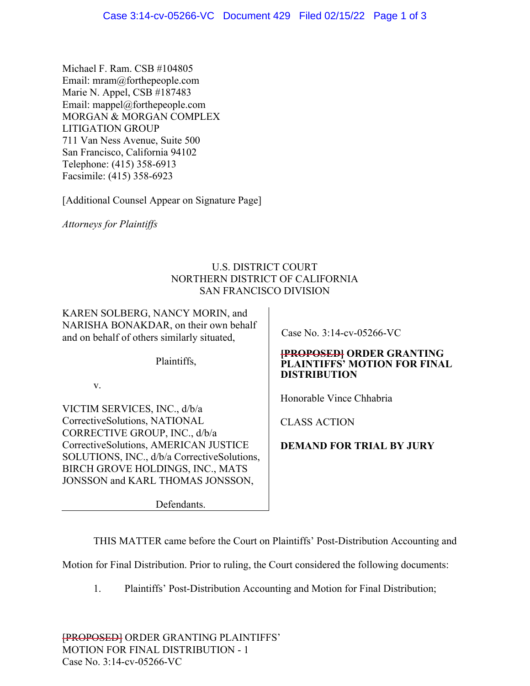Michael F. Ram. CSB #104805 Email: mram@forthepeople.com Marie N. Appel, CSB #187483 Email: mappel@forthepeople.com MORGAN & MORGAN COMPLEX LITIGATION GROUP 711 Van Ness Avenue, Suite 500 San Francisco, California 94102 Telephone: (415) 358-6913 Facsimile: (415) 358-6923

[Additional Counsel Appear on Signature Page]

*Attorneys for Plaintiffs* 

# U.S. DISTRICT COURT NORTHERN DISTRICT OF CALIFORNIA SAN FRANCISCO DIVISION

KAREN SOLBERG, NANCY MORIN, and NARISHA BONAKDAR, on their own behalf and on behalf of others similarly situated,

Plaintiffs,

v.

VICTIM SERVICES, INC., d/b/a CorrectiveSolutions, NATIONAL CORRECTIVE GROUP, INC., d/b/a CorrectiveSolutions, AMERICAN JUSTICE SOLUTIONS, INC., d/b/a CorrectiveSolutions, BIRCH GROVE HOLDINGS, INC., MATS JONSSON and KARL THOMAS JONSSON,

Defendants.

Case No. 3:14-cv-05266-VC

## **[PROPOSED] ORDER GRANTING PLAINTIFFS' MOTION FOR FINAL DISTRIBUTION**

Honorable Vince Chhabria

CLASS ACTION

**DEMAND FOR TRIAL BY JURY**

THIS MATTER came before the Court on Plaintiffs' Post-Distribution Accounting and

Motion for Final Distribution. Prior to ruling, the Court considered the following documents:

1. Plaintiffs' Post-Distribution Accounting and Motion for Final Distribution;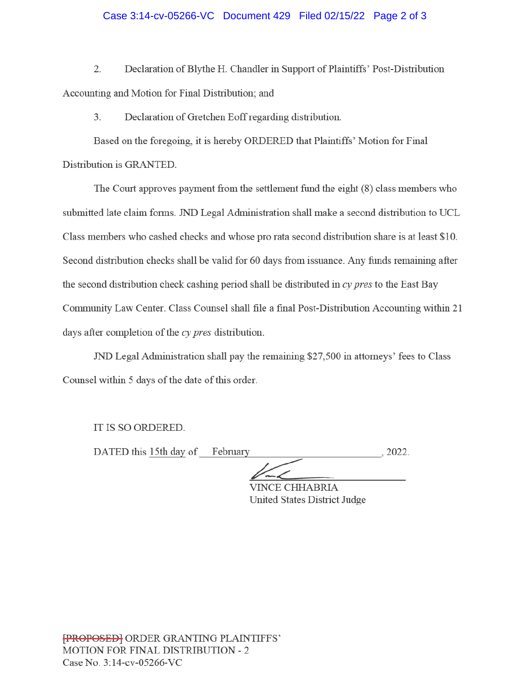#### Case 3:14-cv-05266-VC Document 429 Filed 02/15/22 Page 2 of 3

2. Declaration of Blythe H. Chandler in Support of Plaintiffs' Post-Distribution Accounting and Motion for Final Distribution; and

Declaration of Gretchen Eoff regarding distribution.  $\overline{3}$ .

Based on the foregoing, it is hereby ORDERED that Plaintiffs' Motion for Final Distribution is GRANTED.

The Court approves payment from the settlement fund the eight (8) class members who submitted late claim forms. JND Legal Administration shall make a second distribution to UCL Class members who cashed checks and whose pro rata second distribution share is at least \$10. Second distribution checks shall be valid for 60 days from issuance. Any funds remaining after the second distribution check cashing period shall be distributed in cy pres to the East Bay Community Law Center. Class Counsel shall file a final Post-Distribution Accounting within 21 days after completion of the cy pres distribution.

JND Legal Administration shall pay the remaining \$27,500 in attorneys' fees to Class Counsel within 5 days of the date of this order.

IT IS SO ORDERED.

DATED this 15th day of February

 $, 2022.$ 

**VINCE CHHABRIA** United States District Judge